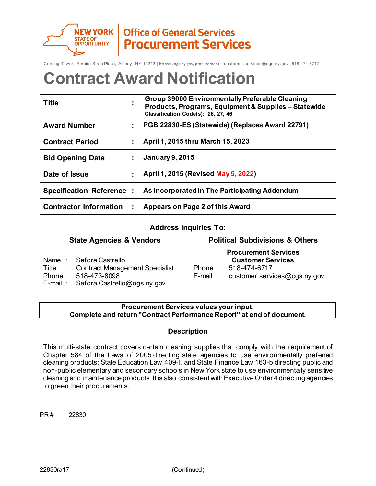

**Office of General Services Procurement Services** 

Corning Tower, Empire State Plaza, Albany, NY 12242 | https://ogs.ny.gov/procurement | customer.services@ogs.ny.gov | 518-474-6717

# **Contract Award Notification**

| <b>Title</b>                    | ٠ | <b>Group 39000 Environmentally Preferable Cleaning</b><br>Products, Programs, Equipment & Supplies - Statewide<br>Classification Code(s): 26, 27, 46 |
|---------------------------------|---|------------------------------------------------------------------------------------------------------------------------------------------------------|
| <b>Award Number</b>             |   | PGB 22830-ES (Statewide) (Replaces Award 22791)                                                                                                      |
| <b>Contract Period</b>          |   | April 1, 2015 thru March 15, 2023                                                                                                                    |
| <b>Bid Opening Date</b>         |   | <b>January 9, 2015</b>                                                                                                                               |
| Date of Issue                   |   | April 1, 2015 (Revised May 5, 2022)                                                                                                                  |
| <b>Specification Reference:</b> |   | As Incorporated in The Participating Addendum                                                                                                        |
| <b>Contractor Information</b>   |   | Appears on Page 2 of this Award                                                                                                                      |

# **Address Inquiries To:**

| <b>State Agencies &amp; Vendors</b>                                                                                                             | <b>Political Subdivisions &amp; Others</b>                                                                                |  |  |
|-------------------------------------------------------------------------------------------------------------------------------------------------|---------------------------------------------------------------------------------------------------------------------------|--|--|
| Name: Sefora Castrello<br><b>Contract Management Specialist</b><br>Title :<br>518-473-8098<br>Phone :<br>$E$ -mail: Sefora.Castrello@ogs.ny.gov | <b>Procurement Services</b><br><b>Customer Services</b><br>Phone: 518-474-6717<br>customer.services@ogs.ny.gov<br>E-mail: |  |  |

# **Procurement Services values your input. Complete and return "Contract Performance Report" at end of document.**

# **Description**

This multi-state contract covers certain cleaning supplies that comply with the requirement of Chapter 584 of the Laws of 2005 directing state agencies to use environmentally preferred cleaning products; State Education Law 409-I, and State Finance Law 163-b directing public and non-public elementary and secondary schools in New York state to use environmentally sensitive cleaning and maintenance products. It is also consistent with Executive Order 4 directing agencies to green their procurements.

PR # 22830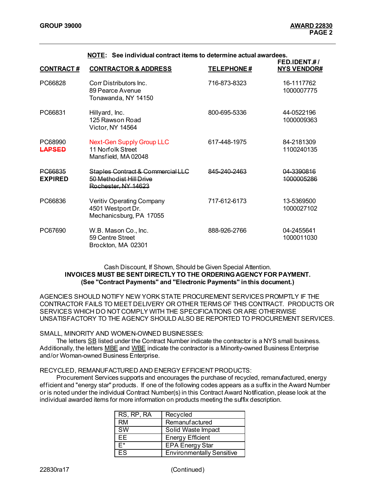| <b>CONTRACT#</b>                 | <b>CONTRACTOR &amp; ADDRESS</b>                                                     | <b>TELEPHONE#</b> | FED.IDENT#/<br><b>NYS VENDOR#</b>       |
|----------------------------------|-------------------------------------------------------------------------------------|-------------------|-----------------------------------------|
| PC66828                          | Corr Distributors Inc.<br>89 Pearce Avenue<br>Tonawanda, NY 14150                   | 716-873-8323      | 16-1117762<br>1000007775                |
| PC66831                          | Hillyard, Inc.<br>125 Rawson Road<br>Victor, NY 14564                               | 800-695-5336      | 44-0522196<br>1000009363                |
| PC68990<br>LAPSED                | <b>Next-Gen Supply Group LLC</b><br>11 Norfolk Street<br>Mansfield, MA02048         | 617-448-1975      | 84-2181309<br>1100240135                |
| <b>PC66835</b><br><b>EXPIRED</b> | Staples Contract & Commercial LLC<br>50 Methodist Hill Drive<br>Rochester, NY 14623 | 845-240-2463      | <u> 04.3300816</u><br><u>1000005286</u> |
| PC66836                          | <b>Veritiv Operating Company</b><br>4501 Westport Dr.<br>Mechanicsburg, PA 17055    | 717-612-6173      | 13-5369500<br>1000027102                |
| PC67690                          | W.B. Mason Co., Inc.<br>59 Centre Street<br>Brockton, MA 02301                      | 888-926-2766      | 04-2455641<br>1000011030                |

#### **NOTE: See individual contract items to determine actual awardees.**

### Cash Discount, If Shown, Should be Given Special Attention. **INVOICES MUST BE SENT DIRECTLY TO THE ORDERING AGENCY FOR PAYMENT. (See "Contract Payments" and "Electronic Payments" in this document.)**

AGENCIES SHOULD NOTIFY NEW YORK STATE PROCUREMENTSERVICES PROMPTLY IF THE CONTRACTOR FAILS TO MEET DELIVERY OR OTHER TERMS OF THIS CONTRACT. PRODUCTS OR SERVICES WHICH DO NOT COMPLY WITH THE SPECIFICATIONS OR ARE OTHERWISE UNSATISFACTORY TO THE AGENCY SHOULD ALSO BE REPORTED TO PROCUREMENTSERVICES.

#### SMALL, MINORITY AND WOMEN-OWNED BUSINESSES:

The letters SB listed under the Contract Number indicate the contractor is a NYS small business. Additionally, the letters MBE and WBE indicate the contractor is a Minority-owned Business Enterprise and/or Woman-owned Business Enterprise.

#### RECYCLED, REMANUFACTURED AND ENERGY EFFICIENT PRODUCTS:

Procurement Services supports and encourages the purchase of recycled, remanufactured, energy efficient and "energy star" products. If one of the following codes appears as a suffix in the Award Number or is noted under the individual Contract Number(s) in this Contract Award Notification, please look at the individual awarded items for more information on products meeting the suffix description.

| RS, RP, RA | Recycled                         |
|------------|----------------------------------|
| RM         | Remanufactured                   |
| <b>SW</b>  | Solid Waste Impact               |
| FF         | <b>Energy Efficient</b>          |
| F*         | <b>EPA Energy Star</b>           |
| 25         | <b>Environmentally Sensitive</b> |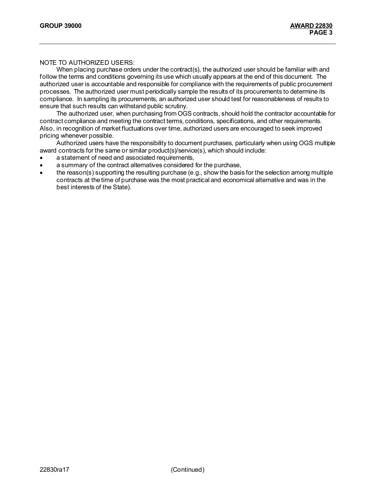## NOTE TO AUTHORIZED USERS:

When placing purchase orders under the contract(s), the authorized user should be familiar with and follow the terms and conditions governing its use which usually appears at the end of this document. The authorized user is accountable and responsible for compliance with the requirements of public procurement processes. The authorized user must periodically sample the results of its procurements to determine its compliance. In sampling its procurements, an authorized user should test for reasonableness of results to ensure that such results can withstand public scrutiny.

The authorized user, when purchasing from OGS contracts, should hold the contractor accountable for contract compliance and meeting the contract terms, conditions, specifications, and other requirements. Also, in recognition of market fluctuations over time, authorized users are encouraged to seek improved pricing whenever possible.

Authorized users have the responsibility to document purchases, particularly when using OGS multiple award contracts for the same or similar product(s)/service(s), which should include:

- a statement of need and associated requirements,
- a summary of the contract alternatives considered for the purchase,
- the reason(s) supporting the resulting purchase (e.g., show the basis for the selection among multiple contracts at the time of purchase was the most practical and economical alternative and was in the best interests of the State).